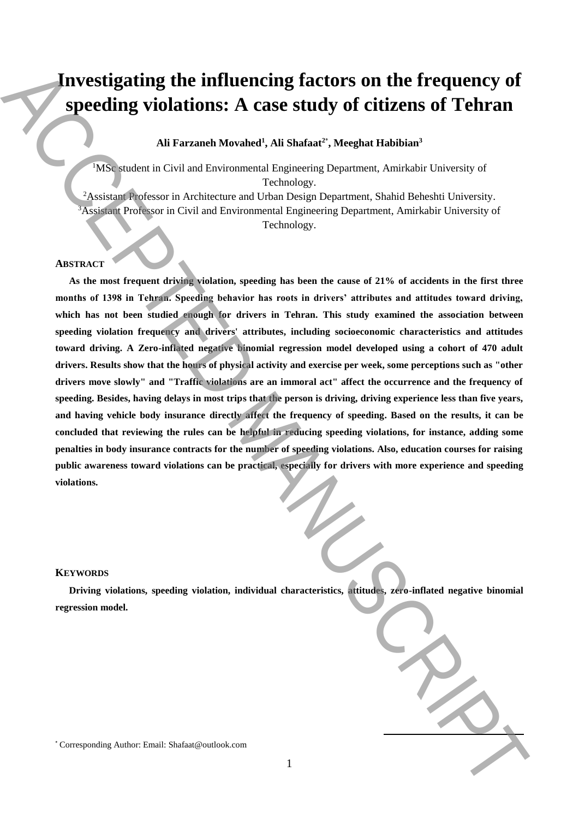# **Investigating the influencing factors on the frequency of speeding violations: A case study of citizens of Tehran**

# **Ali Farzaneh Movahed<sup>1</sup> , Ali Shafaat<sup>2</sup>**\* **, Meeghat Habibian<sup>3</sup>**

<sup>1</sup>MSc student in Civil and Environmental Engineering Department, Amirkabir University of Technology.

<sup>2</sup>Assistant Professor in Architecture and Urban Design Department, Shahid Beheshti University. <sup>3</sup>Assistant Professor in Civil and Environmental Engineering Department, Amirkabir University of Technology.

# **ABSTRACT**

**As the most frequent driving violation, speeding has been the cause of 21% of accidents in the first three months of 1398 in Tehran. Speeding behavior has roots in drivers' attributes and attitudes toward driving, which has not been studied enough for drivers in Tehran. This study examined the association between speeding violation frequency and drivers' attributes, including socioeconomic characteristics and attitudes toward driving. A Zero-inflated negative binomial regression model developed using a cohort of 470 adult drivers. Results show that the hours of physical activity and exercise per week, some perceptions such as "other drivers move slowly" and "Traffic violations are an immoral act" affect the occurrence and the frequency of speeding. Besides, having delays in most trips that the person is driving, driving experience less than five years, and having vehicle body insurance directly affect the frequency of speeding. Based on the results, it can be concluded that reviewing the rules can be helpful in reducing speeding violations, for instance, adding some penalties in body insurance contracts for the number of speeding violations. Also, education courses for raising public awareness toward violations can be practical, especially for drivers with more experience and speeding violations. Example 12 In the influenceing factors on the frequency of**<br>**Speeding violations:** A case study of citizens of Tehran Ali Farmin Manuscriptics and Correlations and Correlations and Correlations and Correlations and Cor

#### **KEYWORDS**

**Driving violations, speeding violation, individual characteristics, attitudes, zero-inflated negative binomial regression model.**

**.**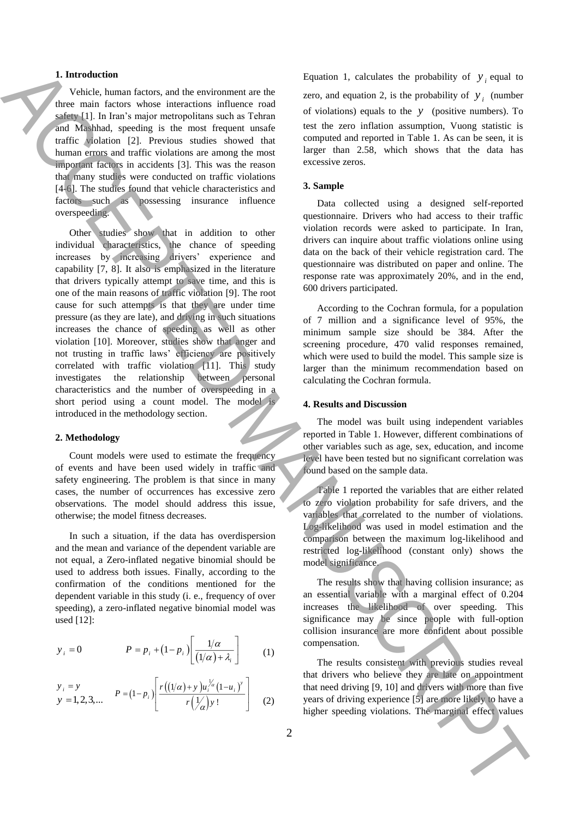## **1. Introduction**

Vehicle, human factors, and the environment are the three main factors whose interactions influence road safety [1]. In Iran's major metropolitans such as Tehran and Mashhad, speeding is the most frequent unsafe traffic violation [2]. Previous studies showed that human errors and traffic violations are among the most important factors in accidents [3]. This was the reason that many studies were conducted on traffic violations [4-6]. The studies found that vehicle characteristics and factors such as possessing insurance influence overspeeding.

Other studies show that in addition to other individual characteristics, the chance of speeding increases by increasing drivers' experience and capability [7, 8]. It also is emphasized in the literature that drivers typically attempt to save time, and this is one of the main reasons of traffic violation [9]. The root cause for such attempts is that they are under time pressure (as they are late), and driving in such situations increases the chance of speeding as well as other violation [10]. Moreover, studies show that anger and not trusting in traffic laws' efficiency are positively correlated with traffic violation  $[11]$ . This study investigates the relationship between personal characteristics and the number of overspeeding in a short period using a count model. The model is introduced in the methodology section. **1.** Interaction the context value of the marginal effect value of  $\mathbf{y}$  is the marginal effect value of the marginal effect value of the marginal effect value of the marginal effect value of the marginal effect value

#### **2. Methodology**

Count models were used to estimate the frequency of events and have been used widely in traffic and safety engineering. The problem is that since in many cases, the number of occurrences has excessive zero observations. The model should address this issue, otherwise; the model fitness decreases.

In such a situation, if the data has overdispersion and the mean and variance of the dependent variable are not equal, a Zero-inflated negative binomial should be used to address both issues. Finally, according to the confirmation of the conditions mentioned for the dependent variable in this study (i. e., frequency of over speeding), a zero-inflated negative binomial model was used [12]:

$$
y_i = 0 \qquad P = p_i + (1 - p_i) \left[ \frac{1/\alpha}{(1/\alpha) + \lambda_i} \right] \qquad (1)
$$

$$
\begin{array}{ll} y_i = y \\ y = 1, 2, 3, \dots \end{array} \qquad P = (1 - p_i) \left[ \frac{r((1/\alpha) + y)u_i^{\frac{1}{\alpha}}(1 - u_i)^y}{r(\frac{1}{\alpha})y!} \right] \qquad (2)
$$

Equation 1, calculates the probability of  $y_i$  equal to zero, and equation 2, is the probability of  $y_i$  (number of violations) equals to the *y* (positive numbers). To test the zero inflation assumption, Vuong statistic is computed and reported in Table 1. As can be seen, it is larger than 2.58, which shows that the data has excessive zeros.

## **3. Sample**

Data collected using a designed self-reported questionnaire. Drivers who had access to their traffic violation records were asked to participate. In Iran, drivers can inquire about traffic violations online using data on the back of their vehicle registration card. The questionnaire was distributed on paper and online. The response rate was approximately 20%, and in the end, 600 drivers participated.

According to the Cochran formula, for a population of 7 million and a significance level of 95%, the minimum sample size should be 384. After the screening procedure, 470 valid responses remained, which were used to build the model. This sample size is larger than the minimum recommendation based on calculating the Cochran formula.

#### **4. Results and Discussion**

The model was built using independent variables reported in Table 1. However, different combinations of other variables such as age, sex, education, and income level have been tested but no significant correlation was found based on the sample data.

Table 1 reported the variables that are either related to zero violation probability for safe drivers, and the variables that correlated to the number of violations. Log-likelihood was used in model estimation and the comparison between the maximum log-likelihood and restricted log-likelihood (constant only) shows the model significance.

The results show that having collision insurance; as an essential variable with a marginal effect of 0.204 increases the likelihood of over speeding. This significance may be since people with full-option collision insurance are more confident about possible compensation.

The results consistent with previous studies reveal that drivers who believe they are late on appointment that need driving [9, 10] and drivers with more than five years of driving experience [5] are more likely to have a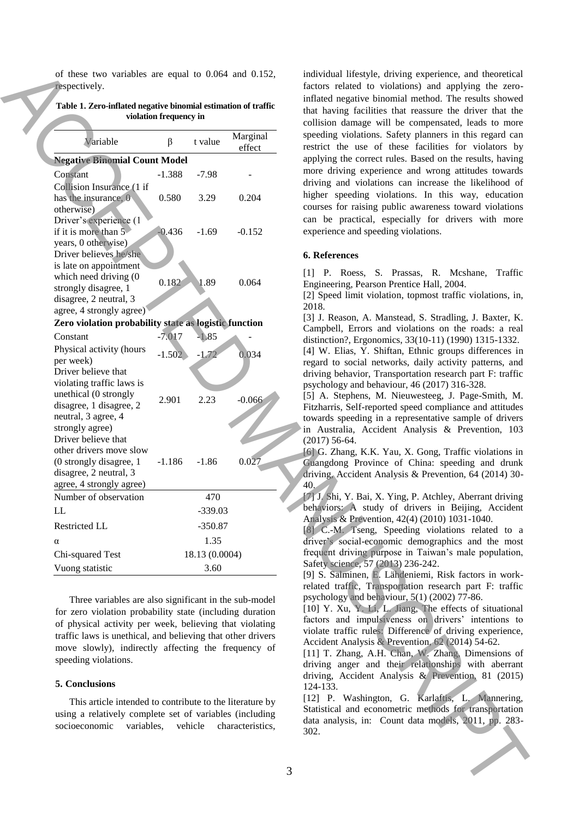| Table 1. Zero-inflated negative binomial estimation of traffic |
|----------------------------------------------------------------|
| violation frequency in                                         |

|  | of these two variables are equal to $0.064$ and $0.152$ ,<br>respectively.                                            |          |           |                    | individual lifestyle, driving experience, and theoretical<br>factors related to violations) and applying the zero-<br>inflated negative binomial method. The results showed |  |  |
|--|-----------------------------------------------------------------------------------------------------------------------|----------|-----------|--------------------|-----------------------------------------------------------------------------------------------------------------------------------------------------------------------------|--|--|
|  | Table 1. Zero-inflated negative binomial estimation of traffic<br>violation frequency in                              |          |           |                    | that having facilities that reassure the driver that the<br>collision damage will be compensated, leads to more                                                             |  |  |
|  | Variable                                                                                                              | β        | t value   | Marginal<br>effect | speeding violations. Safety planners in this regard can<br>restrict the use of these facilities for violators by                                                            |  |  |
|  | <b>Negative Binomial Count Model</b>                                                                                  |          |           |                    | applying the correct rules. Based on the results, having                                                                                                                    |  |  |
|  | Constant                                                                                                              | $-1.388$ | $-7.98$   |                    | more driving experience and wrong attitudes towards                                                                                                                         |  |  |
|  | Collision Insurance (1 if                                                                                             |          |           |                    | driving and violations can increase the likelihood of                                                                                                                       |  |  |
|  | has the insurance, 0<br>otherwise)                                                                                    | 0.580    | 3.29      | 0.204              | higher speeding violations. In this way, education<br>courses for raising public awareness toward violations                                                                |  |  |
|  | Driver's experience (1<br>if it is more than 5                                                                        | $-0.436$ | $-1.69$   | $-0.152$           | can be practical, especially for drivers with more<br>experience and speeding violations.                                                                                   |  |  |
|  | years, 0 otherwise)<br>Driver believes he/she<br>is late on appointment                                               |          |           |                    | 6. References                                                                                                                                                               |  |  |
|  | which need driving (0                                                                                                 |          |           |                    | [1] P. Roess, S. Prassas, R. Mcshane,<br>Traffic                                                                                                                            |  |  |
|  | strongly disagree, 1                                                                                                  | 0.182    | .89       | 0.064              | Engineering, Pearson Prentice Hall, 2004.                                                                                                                                   |  |  |
|  | disagree, 2 neutral, 3                                                                                                |          |           |                    | [2] Speed limit violation, topmost traffic violations, in,                                                                                                                  |  |  |
|  | agree, 4 strongly agree)                                                                                              |          |           |                    | 2018.                                                                                                                                                                       |  |  |
|  | Zero violation probability state as logistic function                                                                 |          |           |                    | [3] J. Reason, A. Manstead, S. Stradling, J. Baxter, K.                                                                                                                     |  |  |
|  | Constant                                                                                                              | $-7.017$ | $-1.85$   |                    | Campbell, Errors and violations on the roads: a real<br>distinction?, Ergonomics, 33(10-11) (1990) 1315-1332.                                                               |  |  |
|  | Physical activity (hours                                                                                              |          |           |                    | [4] W. Elias, Y. Shiftan, Ethnic groups differences in                                                                                                                      |  |  |
|  | per week)                                                                                                             | $-1.502$ | $-1.72$   | 0.034              | regard to social networks, daily activity patterns, and                                                                                                                     |  |  |
|  | Driver believe that                                                                                                   |          |           |                    | driving behavior, Transportation research part F: traffic                                                                                                                   |  |  |
|  | violating traffic laws is                                                                                             |          |           |                    | psychology and behaviour, 46 (2017) 316-328.                                                                                                                                |  |  |
|  | unethical (0 strongly                                                                                                 | 2.901    | 2.23      | $-0.066$           | [5] A. Stephens, M. Nieuwesteeg, J. Page-Smith, M.                                                                                                                          |  |  |
|  | disagree, 1 disagree, 2<br>neutral, 3 agree, 4                                                                        |          |           |                    | Fitzharris, Self-reported speed compliance and attitudes                                                                                                                    |  |  |
|  | strongly agree)                                                                                                       |          |           |                    | towards speeding in a representative sample of drivers                                                                                                                      |  |  |
|  | Driver believe that                                                                                                   |          |           |                    | in Australia, Accident Analysis & Prevention, 103<br>$(2017)$ 56-64.                                                                                                        |  |  |
|  | other drivers move slow                                                                                               |          |           |                    | [6] G. Zhang, K.K. Yau, X. Gong, Traffic violations in                                                                                                                      |  |  |
|  | (0 strongly disagree, 1                                                                                               | $-1.186$ | $-1.86$   | 0.027              | Guangdong Province of China: speeding and drunk                                                                                                                             |  |  |
|  | disagree, 2 neutral, 3                                                                                                |          |           |                    | driving, Accident Analysis & Prevention, 64 (2014) 30-                                                                                                                      |  |  |
|  | agree, 4 strongly agree)                                                                                              |          |           |                    | 40.                                                                                                                                                                         |  |  |
|  | Number of observation                                                                                                 |          | 470       |                    | [7] J. Shi, Y. Bai, X. Ying, P. Atchley, Aberrant driving                                                                                                                   |  |  |
|  | LL                                                                                                                    |          | $-339.03$ |                    | behaviors: A study of drivers in Beijing, Accident                                                                                                                          |  |  |
|  | Restricted LL                                                                                                         |          | $-350.87$ |                    | Analysis & Prevention, 42(4) (2010) 1031-1040.                                                                                                                              |  |  |
|  | α                                                                                                                     |          | 1.35      |                    | [8] C.-M. Tseng, Speeding violations related to a<br>driver's social-economic demographics and the most                                                                     |  |  |
|  | 18.13 (0.0004)                                                                                                        |          |           |                    | frequent driving purpose in Taiwan's male population,                                                                                                                       |  |  |
|  | Chi-squared Test                                                                                                      |          |           |                    | Safety science, 57 (2013) 236-242.                                                                                                                                          |  |  |
|  | Vuong statistic<br>3.60                                                                                               |          |           |                    | [9] S. Salminen, E. Lähdeniemi, Risk factors in work-                                                                                                                       |  |  |
|  |                                                                                                                       |          |           |                    | related traffic, Transportation research part F: traffic                                                                                                                    |  |  |
|  | Three variables are also significant in the sub-model                                                                 |          |           |                    | psychology and behaviour, $5(1)$ (2002) 77-86.                                                                                                                              |  |  |
|  | for zero violation probability state (including duration                                                              |          |           |                    | [10] Y. Xu, Y. Li, L. Jiang, The effects of situational                                                                                                                     |  |  |
|  | of physical activity per week, believing that violating                                                               |          |           |                    | factors and impulsiveness on drivers' intentions to                                                                                                                         |  |  |
|  | traffic laws is unethical, and believing that other drivers<br>move slowly), indirectly affecting the frequency of    |          |           |                    | violate traffic rules. Difference of driving experience,<br>Accident Analysis & Prevention, 62 (2014) 54-62.                                                                |  |  |
|  |                                                                                                                       |          |           |                    | [11] T. Zhang, A.H. Chan, W. Zhang, Dimensions of                                                                                                                           |  |  |
|  | speeding violations.                                                                                                  |          |           |                    | driving anger and their relationships with aberrant                                                                                                                         |  |  |
|  | 5. Conclusions                                                                                                        |          |           |                    | driving, Accident Analysis & Prevention, 81 (2015)<br>124-133.                                                                                                              |  |  |
|  | This article intended to contribute to the literature by                                                              |          |           |                    | [12] P. Washington, G. Karlaftis, L. Mannering,                                                                                                                             |  |  |
|  | using a relatively complete set of variables (including<br>socioeconomic<br>variables,<br>vehicle<br>characteristics, |          |           |                    | Statistical and econometric methods for transportation                                                                                                                      |  |  |
|  |                                                                                                                       |          |           |                    | data analysis, in: Count data models, 2011, pp. 283-                                                                                                                        |  |  |
|  |                                                                                                                       |          |           |                    | 302.                                                                                                                                                                        |  |  |
|  |                                                                                                                       |          |           |                    |                                                                                                                                                                             |  |  |
|  |                                                                                                                       |          |           |                    |                                                                                                                                                                             |  |  |
|  |                                                                                                                       |          |           |                    | 3                                                                                                                                                                           |  |  |
|  |                                                                                                                       |          |           |                    |                                                                                                                                                                             |  |  |

#### **5. Conclusions**

## **6. References**